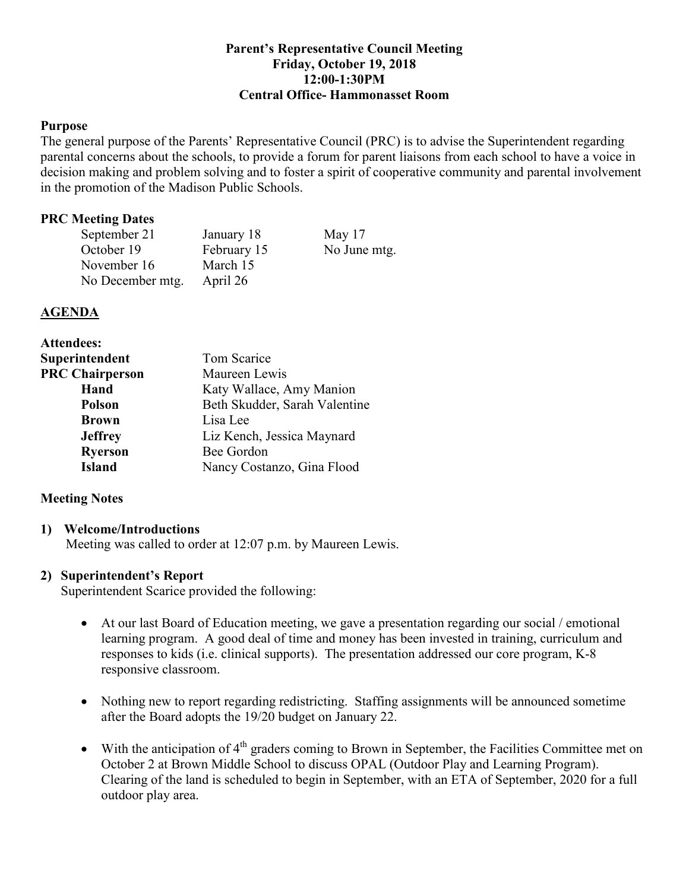## **Parent's Representative Council Meeting Friday, October 19, 2018 12:00-1:30PM Central Office- Hammonasset Room**

## **Purpose**

The general purpose of the Parents' Representative Council (PRC) is to advise the Superintendent regarding parental concerns about the schools, to provide a forum for parent liaisons from each school to have a voice in decision making and problem solving and to foster a spirit of cooperative community and parental involvement in the promotion of the Madison Public Schools.

## **PRC Meeting Dates**

| September 21     | January 18  | May $17$     |
|------------------|-------------|--------------|
| October 19       | February 15 | No June mtg. |
| November 16      | March 15    |              |
| No December mtg. | April 26    |              |

### **AGENDA**

| <b>Attendees:</b>      |                               |  |
|------------------------|-------------------------------|--|
| Superintendent         | Tom Scarice                   |  |
| <b>PRC Chairperson</b> | Maureen Lewis                 |  |
| Hand                   | Katy Wallace, Amy Manion      |  |
| <b>Polson</b>          | Beth Skudder, Sarah Valentine |  |
| <b>Brown</b>           | Lisa Lee                      |  |
| <b>Jeffrey</b>         | Liz Kench, Jessica Maynard    |  |
| <b>Ryerson</b>         | Bee Gordon                    |  |
| <b>Island</b>          | Nancy Costanzo, Gina Flood    |  |

## **Meeting Notes**

#### **1) Welcome/Introductions**

Meeting was called to order at 12:07 p.m. by Maureen Lewis.

## **2) Superintendent's Report**

Superintendent Scarice provided the following:

- At our last Board of Education meeting, we gave a presentation regarding our social / emotional learning program. A good deal of time and money has been invested in training, curriculum and responses to kids (i.e. clinical supports). The presentation addressed our core program, K-8 responsive classroom.
- Nothing new to report regarding redistricting. Staffing assignments will be announced sometime after the Board adopts the 19/20 budget on January 22.
- With the anticipation of  $4<sup>th</sup>$  graders coming to Brown in September, the Facilities Committee met on October 2 at Brown Middle School to discuss OPAL (Outdoor Play and Learning Program). Clearing of the land is scheduled to begin in September, with an ETA of September, 2020 for a full outdoor play area.